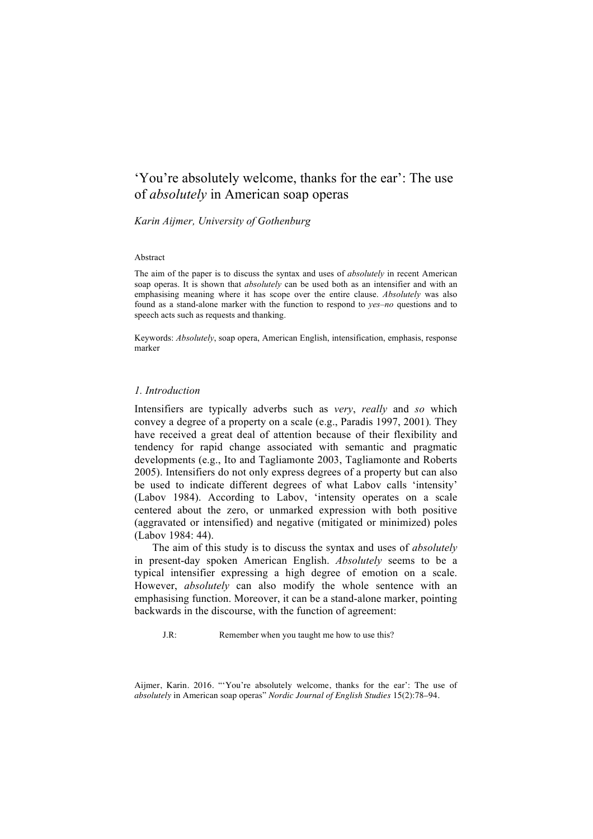# 'You're absolutely welcome, thanks for the ear': The use of *absolutely* in American soap operas

# *Karin Aijmer, University of Gothenburg*

#### Abstract

The aim of the paper is to discuss the syntax and uses of *absolutely* in recent American soap operas. It is shown that *absolutely* can be used both as an intensifier and with an emphasising meaning where it has scope over the entire clause. *Absolutely* was also found as a stand-alone marker with the function to respond to *yes*–*no* questions and to speech acts such as requests and thanking.

Keywords: *Absolutely*, soap opera, American English, intensification, emphasis, response marker

### *1. Introduction*

Intensifiers are typically adverbs such as *very*, *really* and *so* which convey a degree of a property on a scale (e.g., Paradis 1997, 2001)*.* They have received a great deal of attention because of their flexibility and tendency for rapid change associated with semantic and pragmatic developments (e.g., Ito and Tagliamonte 2003, Tagliamonte and Roberts 2005). Intensifiers do not only express degrees of a property but can also be used to indicate different degrees of what Labov calls 'intensity' (Labov 1984). According to Labov, 'intensity operates on a scale centered about the zero, or unmarked expression with both positive (aggravated or intensified) and negative (mitigated or minimized) poles (Labov 1984: 44).

The aim of this study is to discuss the syntax and uses of *absolutely*  in present-day spoken American English. *Absolutely* seems to be a typical intensifier expressing a high degree of emotion on a scale. However, *absolutely* can also modify the whole sentence with an emphasising function. Moreover, it can be a stand-alone marker, pointing backwards in the discourse, with the function of agreement:

J.R: Remember when you taught me how to use this?

Aijmer, Karin. 2016. "'You're absolutely welcome, thanks for the ear': The use of *absolutely* in American soap operas" *Nordic Journal of English Studies* 15(2):78–94.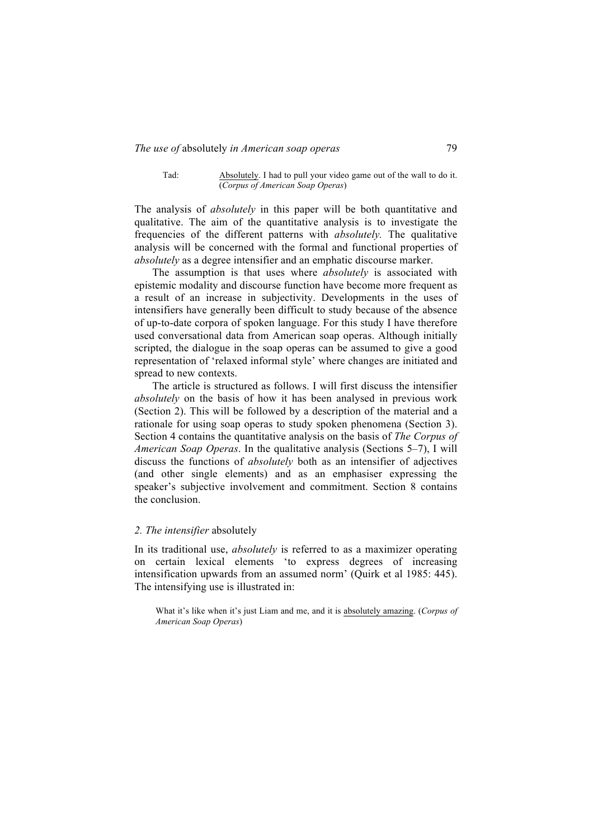Tad: Absolutely. I had to pull your video game out of the wall to do it. (*Corpus of American Soap Operas*)

The analysis of *absolutely* in this paper will be both quantitative and qualitative. The aim of the quantitative analysis is to investigate the frequencies of the different patterns with *absolutely.* The qualitative analysis will be concerned with the formal and functional properties of *absolutely* as a degree intensifier and an emphatic discourse marker.

The assumption is that uses where *absolutely* is associated with epistemic modality and discourse function have become more frequent as a result of an increase in subjectivity. Developments in the uses of intensifiers have generally been difficult to study because of the absence of up-to-date corpora of spoken language. For this study I have therefore used conversational data from American soap operas. Although initially scripted, the dialogue in the soap operas can be assumed to give a good representation of 'relaxed informal style' where changes are initiated and spread to new contexts.

The article is structured as follows. I will first discuss the intensifier *absolutely* on the basis of how it has been analysed in previous work (Section 2). This will be followed by a description of the material and a rationale for using soap operas to study spoken phenomena (Section 3). Section 4 contains the quantitative analysis on the basis of *The Corpus of American Soap Operas*. In the qualitative analysis (Sections 5–7), I will discuss the functions of *absolutely* both as an intensifier of adjectives (and other single elements) and as an emphasiser expressing the speaker's subjective involvement and commitment. Section 8 contains the conclusion.

### *2. The intensifier* absolutely

In its traditional use, *absolutely* is referred to as a maximizer operating on certain lexical elements 'to express degrees of increasing intensification upwards from an assumed norm' (Quirk et al 1985: 445). The intensifying use is illustrated in:

What it's like when it's just Liam and me, and it is absolutely amazing. (*Corpus of American Soap Operas*)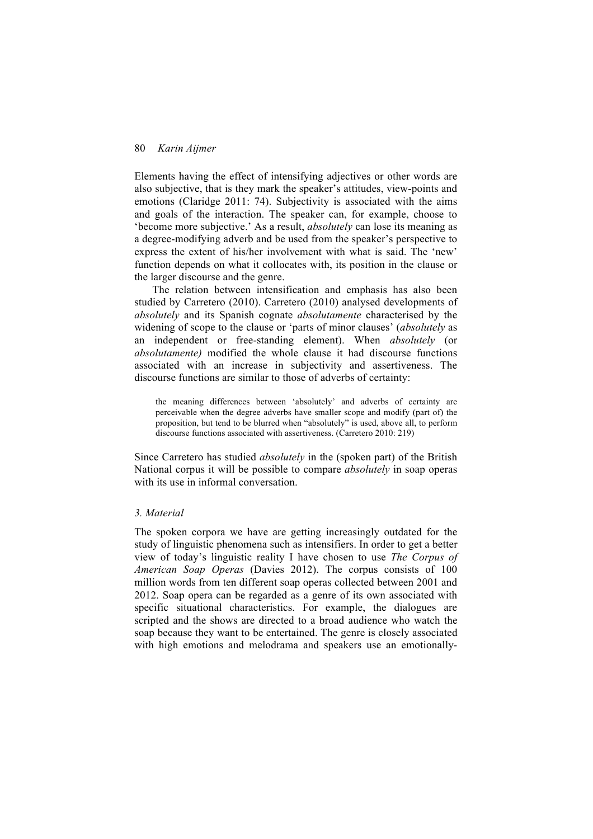Elements having the effect of intensifying adjectives or other words are also subjective, that is they mark the speaker's attitudes, view-points and emotions (Claridge 2011: 74). Subjectivity is associated with the aims and goals of the interaction. The speaker can, for example, choose to 'become more subjective.' As a result, *absolutely* can lose its meaning as a degree-modifying adverb and be used from the speaker's perspective to express the extent of his/her involvement with what is said. The 'new' function depends on what it collocates with, its position in the clause or the larger discourse and the genre.

The relation between intensification and emphasis has also been studied by Carretero (2010). Carretero (2010) analysed developments of *absolutely* and its Spanish cognate *absolutamente* characterised by the widening of scope to the clause or 'parts of minor clauses' (*absolutely* as an independent or free-standing element). When *absolutely* (or *absolutamente)* modified the whole clause it had discourse functions associated with an increase in subjectivity and assertiveness. The discourse functions are similar to those of adverbs of certainty:

the meaning differences between 'absolutely' and adverbs of certainty are perceivable when the degree adverbs have smaller scope and modify (part of) the proposition, but tend to be blurred when "absolutely" is used, above all, to perform discourse functions associated with assertiveness. (Carretero 2010: 219)

Since Carretero has studied *absolutely* in the (spoken part) of the British National corpus it will be possible to compare *absolutely* in soap operas with its use in informal conversation.

### *3. Material*

The spoken corpora we have are getting increasingly outdated for the study of linguistic phenomena such as intensifiers. In order to get a better view of today's linguistic reality I have chosen to use *The Corpus of American Soap Operas* (Davies 2012). The corpus consists of 100 million words from ten different soap operas collected between 2001 and 2012. Soap opera can be regarded as a genre of its own associated with specific situational characteristics. For example, the dialogues are scripted and the shows are directed to a broad audience who watch the soap because they want to be entertained. The genre is closely associated with high emotions and melodrama and speakers use an emotionally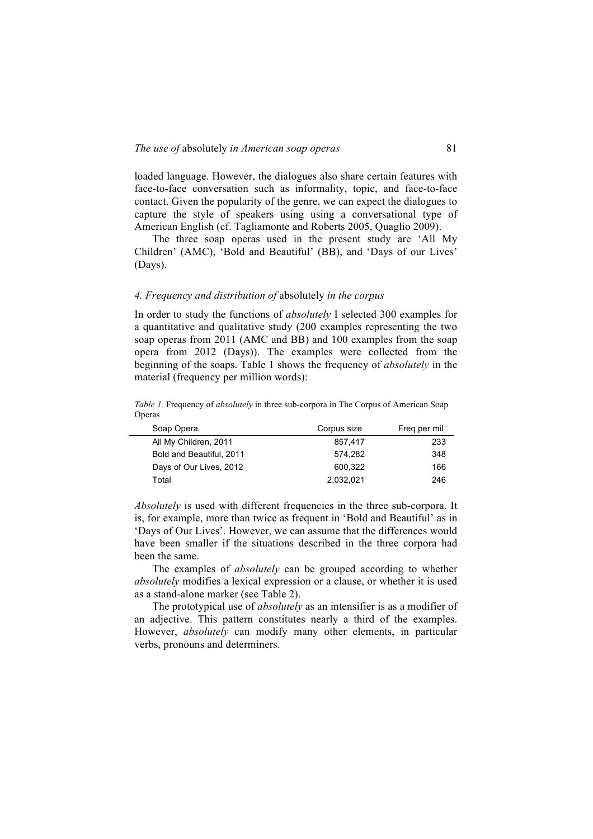loaded language. However, the dialogues also share certain features with face-to-face conversation such as informality, topic, and face-to-face contact. Given the popularity of the genre, we can expect the dialogues to capture the style of speakers using using a conversational type of American English (cf. Tagliamonte and Roberts 2005, Quaglio 2009).

The three soap operas used in the present study are 'All My Children' (AMC), 'Bold and Beautiful' (BB), and 'Days of our Lives' (Days).

# *4. Frequency and distribution of* absolutely *in the corpus*

In order to study the functions of *absolutely* I selected 300 examples for a quantitative and qualitative study (200 examples representing the two soap operas from 2011 (AMC and BB) and 100 examples from the soap opera from 2012 (Days)). The examples were collected from the beginning of the soaps. Table 1 shows the frequency of *absolutely* in the material (frequency per million words):

*Table 1.* Frequency of *absolutely* in three sub-corpora in The Corpus of American Soap Operas

| Soap Opera               | Corpus size | Freg per mil |
|--------------------------|-------------|--------------|
| All My Children, 2011    | 857.417     | 233          |
| Bold and Beautiful, 2011 | 574.282     | 348          |
| Days of Our Lives, 2012  | 600.322     | 166          |
| Total                    | 2.032.021   | 246          |

*Absolutely* is used with different frequencies in the three sub-corpora. It is, for example, more than twice as frequent in 'Bold and Beautiful' as in 'Days of Our Lives'. However, we can assume that the differences would have been smaller if the situations described in the three corpora had been the same.

The examples of *absolutely* can be grouped according to whether *absolutely* modifies a lexical expression or a clause, or whether it is used as a stand-alone marker (see Table 2).

The prototypical use of *absolutely* as an intensifier is as a modifier of an adjective. This pattern constitutes nearly a third of the examples. However, *absolutely* can modify many other elements, in particular verbs, pronouns and determiners.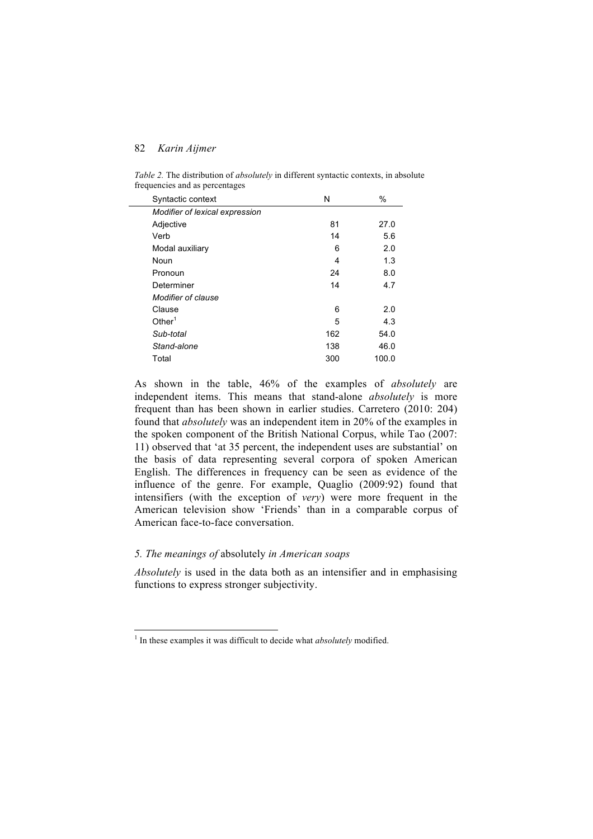Syntactic context N % *Modifier of lexical expression* Adjective 27.0 Verb 14 5.6 Modal auxiliary 6 2.0 Noun 1.3 Pronoun 24 8.0 Determiner 14 4.7 *Modifier of clause* Clause 6 2.0 Other<sup>1</sup> and  $5$  4.3 *Sub-total* 162 54.0 *Stand-alone* 138 46.0 Total 300 100.0

*Table 2.* The distribution of *absolutely* in different syntactic contexts, in absolute frequencies and as percentages

As shown in the table, 46% of the examples of *absolutely* are independent items. This means that stand-alone *absolutely* is more frequent than has been shown in earlier studies. Carretero (2010: 204) found that *absolutely* was an independent item in 20% of the examples in the spoken component of the British National Corpus, while Tao (2007: 11) observed that 'at 35 percent, the independent uses are substantial' on the basis of data representing several corpora of spoken American English. The differences in frequency can be seen as evidence of the influence of the genre. For example, Quaglio (2009:92) found that intensifiers (with the exception of *very*) were more frequent in the American television show 'Friends' than in a comparable corpus of American face-to-face conversation.

# *5. The meanings of* absolutely *in American soaps*

*Absolutely* is used in the data both as an intensifier and in emphasising functions to express stronger subjectivity.

<sup>&</sup>lt;sup>1</sup> In these examples it was difficult to decide what *absolutely* modified.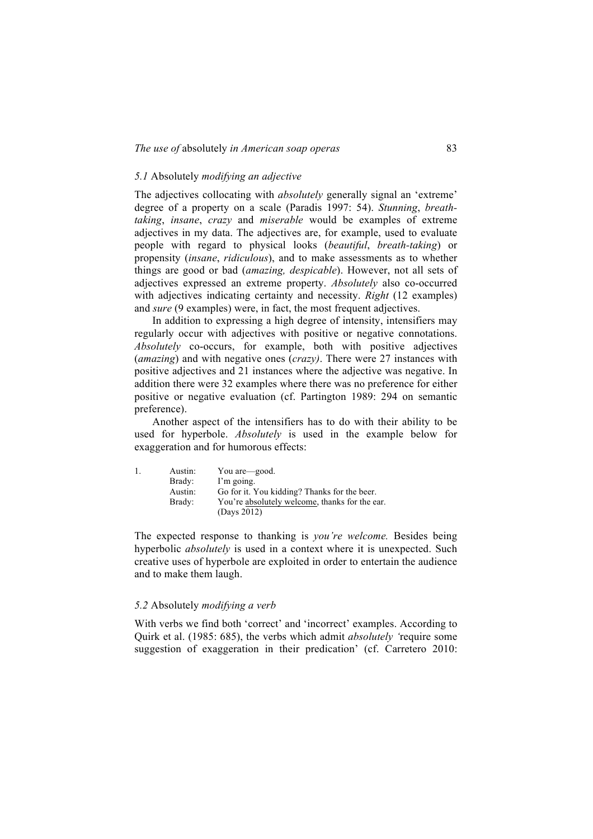# *5.1* Absolutely *modifying an adjective*

The adjectives collocating with *absolutely* generally signal an 'extreme' degree of a property on a scale (Paradis 1997: 54). *Stunning*, *breathtaking*, *insane*, *crazy* and *miserable* would be examples of extreme adjectives in my data. The adjectives are, for example, used to evaluate people with regard to physical looks (*beautiful*, *breath-taking*) or propensity (*insane*, *ridiculous*), and to make assessments as to whether things are good or bad (*amazing, despicable*). However, not all sets of adjectives expressed an extreme property. *Absolutely* also co-occurred with adjectives indicating certainty and necessity. *Right* (12 examples) and *sure* (9 examples) were, in fact, the most frequent adjectives.

In addition to expressing a high degree of intensity, intensifiers may regularly occur with adjectives with positive or negative connotations. *Absolutely* co-occurs, for example, both with positive adjectives (*amazing*) and with negative ones (*crazy)*. There were 27 instances with positive adjectives and 21 instances where the adjective was negative. In addition there were 32 examples where there was no preference for either positive or negative evaluation (cf. Partington 1989: 294 on semantic preference).

Another aspect of the intensifiers has to do with their ability to be used for hyperbole. *Absolutely* is used in the example below for exaggeration and for humorous effects:

| 1. | Austin: | You are—good.                                  |
|----|---------|------------------------------------------------|
|    | Brady:  | I'm going.                                     |
|    | Austin: | Go for it. You kidding? Thanks for the beer.   |
|    | Brady:  | You're absolutely welcome, thanks for the ear. |
|    |         | (Days 2012)                                    |

The expected response to thanking is *you're welcome.* Besides being hyperbolic *absolutely* is used in a context where it is unexpected. Such creative uses of hyperbole are exploited in order to entertain the audience and to make them laugh.

#### *5.2* Absolutely *modifying a verb*

With verbs we find both 'correct' and 'incorrect' examples. According to Quirk et al. (1985: 685), the verbs which admit *absolutely '*require some suggestion of exaggeration in their predication' (cf. Carretero 2010: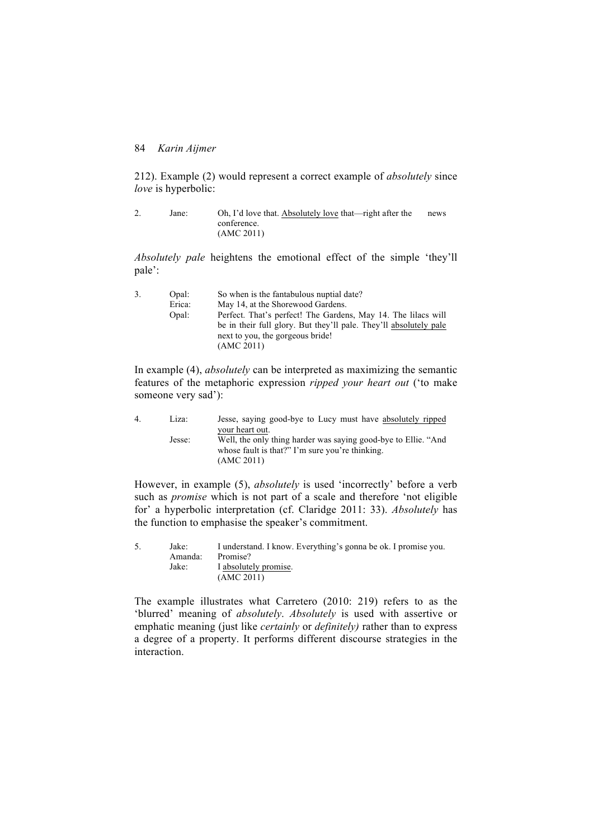212). Example (2) would represent a correct example of *absolutely* since *love* is hyperbolic:

| Jane: | Oh, I'd love that. Absolutely love that—right after the | news |
|-------|---------------------------------------------------------|------|
|       | conference.                                             |      |
|       | (AMC 2011)                                              |      |

*Absolutely pale* heightens the emotional effect of the simple 'they'll pale':

| Opal:  | So when is the fantabulous nuptial date?                          |
|--------|-------------------------------------------------------------------|
| Erica: | May 14, at the Shorewood Gardens.                                 |
| Opal:  | Perfect. That's perfect! The Gardens, May 14. The lilacs will     |
|        | be in their full glory. But they'll pale. They'll absolutely pale |
|        | next to you, the gorgeous bride!                                  |
|        | (AMC 2011)                                                        |
|        |                                                                   |

In example (4), *absolutely* can be interpreted as maximizing the semantic features of the metaphoric expression *ripped your heart out* ('to make someone very sad'):

| 4 | Liza:  | Jesse, saying good-bye to Lucy must have absolutely ripped                                                        |
|---|--------|-------------------------------------------------------------------------------------------------------------------|
|   |        | your heart out.                                                                                                   |
|   | Jesse: | Well, the only thing harder was saying good-bye to Ellie. "And<br>whose fault is that?" I'm sure you're thinking. |
|   |        | (AMC 2011)                                                                                                        |

However, in example (5), *absolutely* is used 'incorrectly' before a verb such as *promise* which is not part of a scale and therefore 'not eligible for' a hyperbolic interpretation (cf. Claridge 2011: 33). *Absolutely* has the function to emphasise the speaker's commitment.

| 5. | Jake: .<br>Amanda: | I understand. I know. Everything's gonna be ok. I promise you.<br>Promise? |
|----|--------------------|----------------------------------------------------------------------------|
|    | Jake:              | I absolutely promise.<br>(AMC 2011)                                        |

The example illustrates what Carretero (2010: 219) refers to as the 'blurred' meaning of *absolutely*. *Absolutely* is used with assertive or emphatic meaning (just like *certainly* or *definitely)* rather than to express a degree of a property. It performs different discourse strategies in the interaction.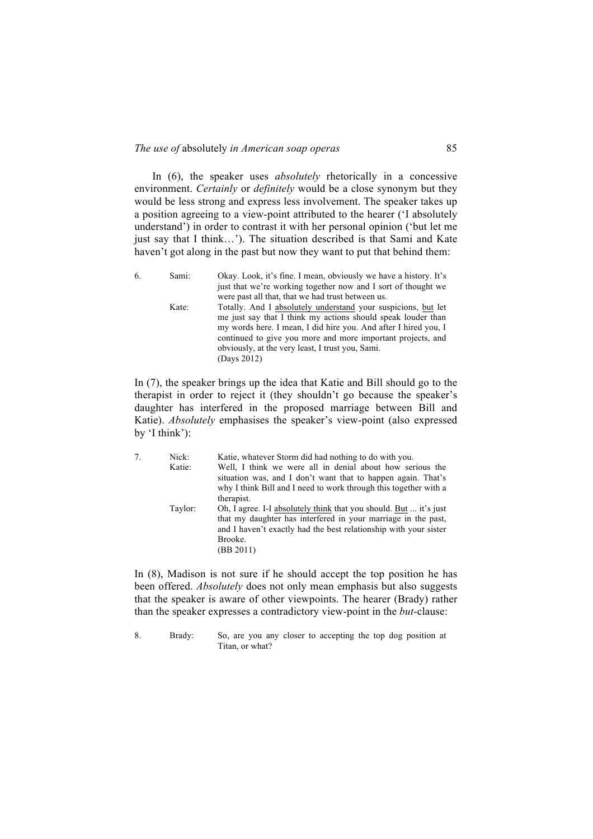In (6), the speaker uses *absolutely* rhetorically in a concessive environment. *Certainly* or *definitely* would be a close synonym but they would be less strong and express less involvement. The speaker takes up a position agreeing to a view-point attributed to the hearer ('I absolutely understand') in order to contrast it with her personal opinion ('but let me just say that I think…'). The situation described is that Sami and Kate haven't got along in the past but now they want to put that behind them:

| 6. | Sami: | Okay. Look, it's fine. I mean, obviously we have a history. It's                                                                                                                                                                                                                                                                   |
|----|-------|------------------------------------------------------------------------------------------------------------------------------------------------------------------------------------------------------------------------------------------------------------------------------------------------------------------------------------|
|    |       | just that we're working together now and I sort of thought we                                                                                                                                                                                                                                                                      |
|    |       | were past all that, that we had trust between us.                                                                                                                                                                                                                                                                                  |
|    | Kate: | Totally. And I absolutely understand your suspicions, but let<br>me just say that I think my actions should speak louder than<br>my words here. I mean, I did hire you. And after I hired you, I<br>continued to give you more and more important projects, and<br>obviously, at the very least, I trust you, Sami.<br>(Days 2012) |

In (7), the speaker brings up the idea that Katie and Bill should go to the therapist in order to reject it (they shouldn't go because the speaker's daughter has interfered in the proposed marriage between Bill and Katie). *Absolutely* emphasises the speaker's view-point (also expressed by 'I think'):

| 7. | Nick:   | Katie, whatever Storm did had nothing to do with you.             |
|----|---------|-------------------------------------------------------------------|
|    | Katie:  | Well, I think we were all in denial about how serious the         |
|    |         | situation was, and I don't want that to happen again. That's      |
|    |         | why I think Bill and I need to work through this together with a  |
|    |         | therapist.                                                        |
|    | Taylor: | Oh, I agree. I-I absolutely think that you should. But  it's just |
|    |         | that my daughter has interfered in your marriage in the past,     |
|    |         | and I haven't exactly had the best relationship with your sister  |
|    |         | Brooke.                                                           |
|    |         | (BB 2011)                                                         |
|    |         |                                                                   |

In (8), Madison is not sure if he should accept the top position he has been offered. *Absolutely* does not only mean emphasis but also suggests that the speaker is aware of other viewpoints. The hearer (Brady) rather than the speaker expresses a contradictory view-point in the *but-*clause:

<sup>8.</sup> Brady: So, are you any closer to accepting the top dog position at Titan, or what?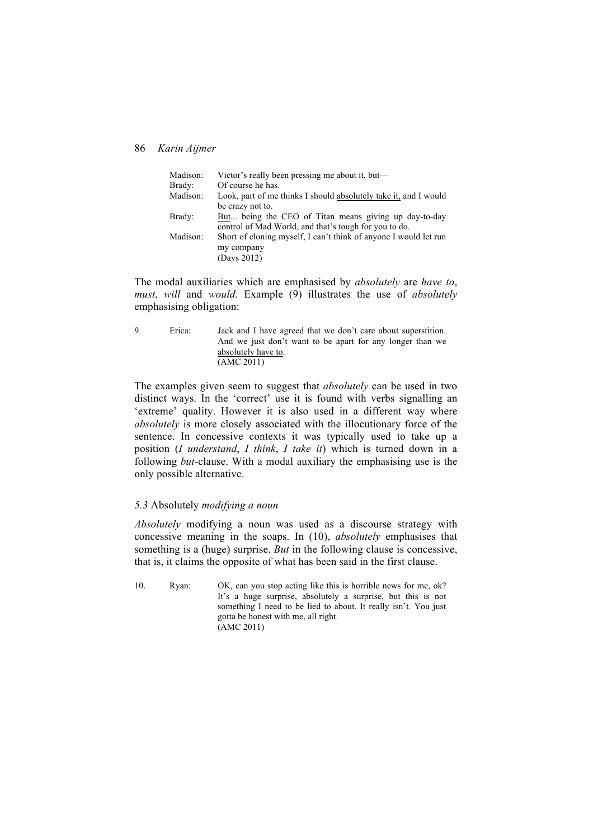| Madison:<br>Brady: | Victor's really been pressing me about it, but—<br>Of course he has. |
|--------------------|----------------------------------------------------------------------|
| Madison:           | Look, part of me thinks I should absolutely take it, and I would     |
|                    |                                                                      |
|                    | be crazy not to.                                                     |
| Brady:             | But being the CEO of Titan means giving up day-to-day                |
|                    | control of Mad World, and that's tough for you to do.                |
| Madison:           | Short of cloning myself, I can't think of anyone I would let run     |
|                    | my company                                                           |
|                    | (Days 2012)                                                          |

The modal auxiliaries which are emphasised by *absolutely* are *have to*, *must*, *will* and *would*. Example (9) illustrates the use of *absolutely*  emphasising obligation:

9. Erica: Jack and I have agreed that we don't care about superstition. And we just don't want to be apart for any longer than we absolutely have to. (AMC 2011)

The examples given seem to suggest that *absolutely* can be used in two distinct ways. In the 'correct' use it is found with verbs signalling an 'extreme' quality. However it is also used in a different way where *absolutely* is more closely associated with the illocutionary force of the sentence. In concessive contexts it was typically used to take up a position (*I understand*, *I think*, *I take it*) which is turned down in a following *but-*clause. With a modal auxiliary the emphasising use is the only possible alternative.

# *5.3* Absolutely *modifying a noun*

*Absolutely* modifying a noun was used as a discourse strategy with concessive meaning in the soaps. In (10), *absolutely* emphasises that something is a (huge) surprise. *But* in the following clause is concessive, that is, it claims the opposite of what has been said in the first clause.

10. Ryan: OK, can you stop acting like this is horrible news for me, ok? It's a huge surprise, absolutely a surprise, but this is not something I need to be lied to about. It really isn't. You just gotta be honest with me, all right. (AMC 2011)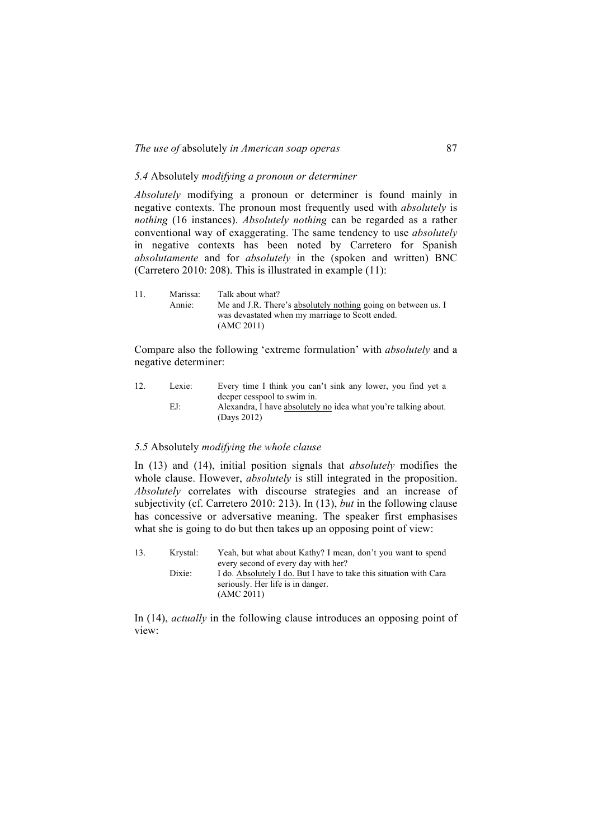### *5.4* Absolutely *modifying a pronoun or determiner*

*Absolutely* modifying a pronoun or determiner is found mainly in negative contexts. The pronoun most frequently used with *absolutely* is *nothing* (16 instances). *Absolutely nothing* can be regarded as a rather conventional way of exaggerating. The same tendency to use *absolutely*  in negative contexts has been noted by Carretero for Spanish *absolutamente* and for *absolutely* in the (spoken and written) BNC (Carretero 2010: 208). This is illustrated in example (11):

| 11. | Marissa: | Talk about what?                                              |
|-----|----------|---------------------------------------------------------------|
|     | Annie:   | Me and J.R. There's absolutely nothing going on between us. I |
|     |          | was devastated when my marriage to Scott ended.               |
|     |          | (AMC 2011)                                                    |

Compare also the following 'extreme formulation' with *absolutely* and a negative determiner:

| 12. | Lexie: | Every time I think you can't sink any lower, you find yet a     |
|-----|--------|-----------------------------------------------------------------|
|     |        | deeper cesspool to swim in.                                     |
|     | EJ:    | Alexandra, I have absolutely no idea what you're talking about. |
|     |        | (Davs 2012)                                                     |

#### *5.5* Absolutely *modifying the whole clause*

In (13) and (14), initial position signals that *absolutely* modifies the whole clause. However, *absolutely* is still integrated in the proposition. *Absolutely* correlates with discourse strategies and an increase of subjectivity (cf. Carretero 2010: 213). In (13), *but* in the following clause has concessive or adversative meaning. The speaker first emphasises what she is going to do but then takes up an opposing point of view:

| 13. | Krvstal: | Yeah, but what about Kathy? I mean, don't you want to spend                                             |
|-----|----------|---------------------------------------------------------------------------------------------------------|
|     |          | every second of every day with her?                                                                     |
|     | Dixie:   | I do. Absolutely I do. But I have to take this situation with Cara<br>seriously. Her life is in danger. |
|     |          | (AMC 2011)                                                                                              |

In (14), *actually* in the following clause introduces an opposing point of view: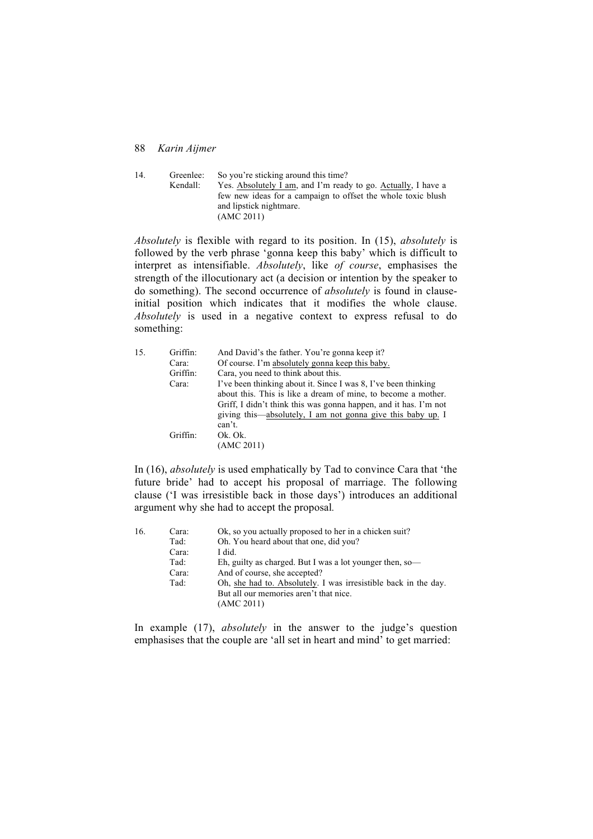14. Greenlee: So you're sticking around this time? Kendall: Yes. Absolutely I am, and I'm ready to go. Actually, I have a few new ideas for a campaign to offset the whole toxic blush and lipstick nightmare. (AMC 2011)

*Absolutely* is flexible with regard to its position. In (15), *absolutely* is followed by the verb phrase 'gonna keep this baby' which is difficult to interpret as intensifiable. *Absolutely*, like *of course*, emphasises the strength of the illocutionary act (a decision or intention by the speaker to do something). The second occurrence of *absolutely* is found in clauseinitial position which indicates that it modifies the whole clause. *Absolutely* is used in a negative context to express refusal to do something:

| 15. | Griffin: | And David's the father. You're gonna keep it?                    |
|-----|----------|------------------------------------------------------------------|
|     | Cara:    | Of course. I'm absolutely gonna keep this baby.                  |
|     | Griffin: | Cara, you need to think about this.                              |
|     | Cara:    | I've been thinking about it. Since I was 8, I've been thinking   |
|     |          | about this. This is like a dream of mine, to become a mother.    |
|     |          | Griff, I didn't think this was gonna happen, and it has. I'm not |
|     |          | giving this—absolutely, I am not gonna give this baby up. I      |
|     |          | can't.                                                           |
|     | Griffin: | Ok. Ok.                                                          |
|     |          | (AMC 2011)                                                       |

In (16), *absolutely* is used emphatically by Tad to convince Cara that 'the future bride' had to accept his proposal of marriage. The following clause ('I was irresistible back in those days') introduces an additional argument why she had to accept the proposal*.*

| Eh, guilty as charged. But I was a lot younger then, so-        |
|-----------------------------------------------------------------|
|                                                                 |
| Oh, she had to. Absolutely. I was irresistible back in the day. |
|                                                                 |
|                                                                 |
|                                                                 |

In example (17), *absolutely* in the answer to the judge's question emphasises that the couple are 'all set in heart and mind' to get married: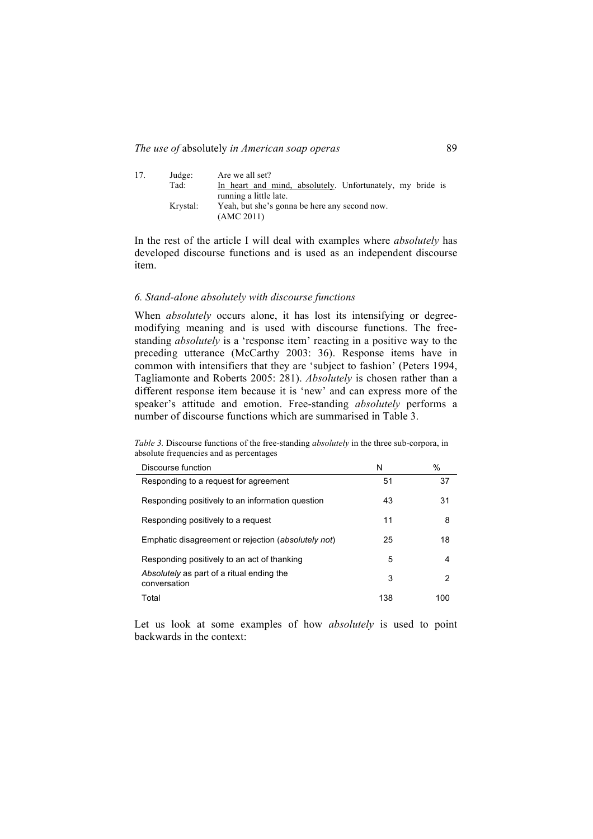| 17. | Judge:<br>Tad: | Are we all set?<br>In heart and mind, absolutely. Unfortunately, my bride is |
|-----|----------------|------------------------------------------------------------------------------|
|     |                | running a little late.                                                       |
|     | Krystal:       | Yeah, but she's gonna be here any second now.                                |
|     |                | (AMC 2011)                                                                   |

In the rest of the article I will deal with examples where *absolutely* has developed discourse functions and is used as an independent discourse item.

### *6. Stand-alone absolutely with discourse functions*

When *absolutely* occurs alone, it has lost its intensifying or degreemodifying meaning and is used with discourse functions. The freestanding *absolutely* is a 'response item' reacting in a positive way to the preceding utterance (McCarthy 2003: 36). Response items have in common with intensifiers that they are 'subject to fashion' (Peters 1994, Tagliamonte and Roberts 2005: 281). *Absolutely* is chosen rather than a different response item because it is 'new' and can express more of the speaker's attitude and emotion. Free-standing *absolutely* performs a number of discourse functions which are summarised in Table 3.

*Table 3.* Discourse functions of the free-standing *absolutely* in the three sub-corpora, in absolute frequencies and as percentages

| Discourse function                                        | N   | %   |
|-----------------------------------------------------------|-----|-----|
| Responding to a request for agreement                     | 51  | 37  |
| Responding positively to an information question          | 43  | 31  |
| Responding positively to a request                        | 11  | 8   |
| Emphatic disagreement or rejection (absolutely not)       | 25  | 18  |
| Responding positively to an act of thanking               | 5   | 4   |
| Absolutely as part of a ritual ending the<br>conversation | 3   | 2   |
| Total                                                     | 138 | 100 |

Let us look at some examples of how *absolutely* is used to point backwards in the context: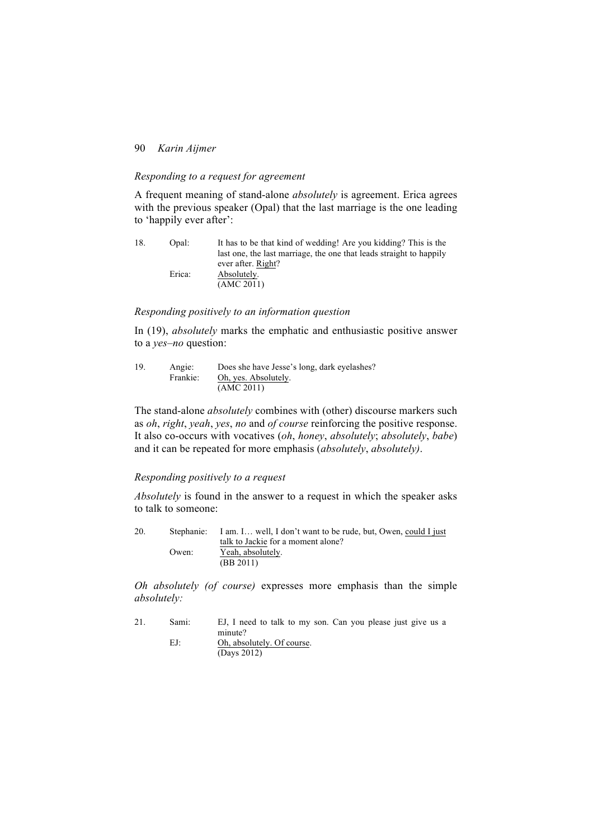# *Responding to a request for agreement*

A frequent meaning of stand-alone *absolutely* is agreement. Erica agrees with the previous speaker (Opal) that the last marriage is the one leading to 'happily ever after':

| 18. | Opal:  | It has to be that kind of wedding! Are you kidding? This is the     |
|-----|--------|---------------------------------------------------------------------|
|     |        | last one, the last marriage, the one that leads straight to happily |
|     |        | ever after. Right?                                                  |
|     | Erica: | Absolutely.                                                         |
|     |        | (AMC 2011)                                                          |

# *Responding positively to an information question*

In (19), *absolutely* marks the emphatic and enthusiastic positive answer to a *yes*–*no* question:

| 19. | Angie:   | Does she have Jesse's long, dark eyelashes? |
|-----|----------|---------------------------------------------|
|     | Frankie: | Oh, yes. Absolutely.                        |
|     |          | (AMC 2011)                                  |

The stand-alone *absolutely* combines with (other) discourse markers such as *oh*, *right*, *yeah*, *yes*, *no* and *of course* reinforcing the positive response. It also co-occurs with vocatives (*oh*, *honey*, *absolutely*; *absolutely*, *babe*) and it can be repeated for more emphasis (*absolutely*, *absolutely)*.

### *Responding positively to a request*

*Absolutely* is found in the answer to a request in which the speaker asks to talk to someone:

20. Stephanie: I am. I… well, I don't want to be rude, but, Owen, could I just talk to Jackie for a moment alone? Owen: Yeah, absolutely. (BB 2011)

*Oh absolutely (of course)* expresses more emphasis than the simple *absolutely:*

| 21. | Sami: | EJ, I need to talk to my son. Can you please just give us a |
|-----|-------|-------------------------------------------------------------|
|     |       | minute?                                                     |
|     | EJ:   | Oh, absolutely. Of course.                                  |

(Days 2012)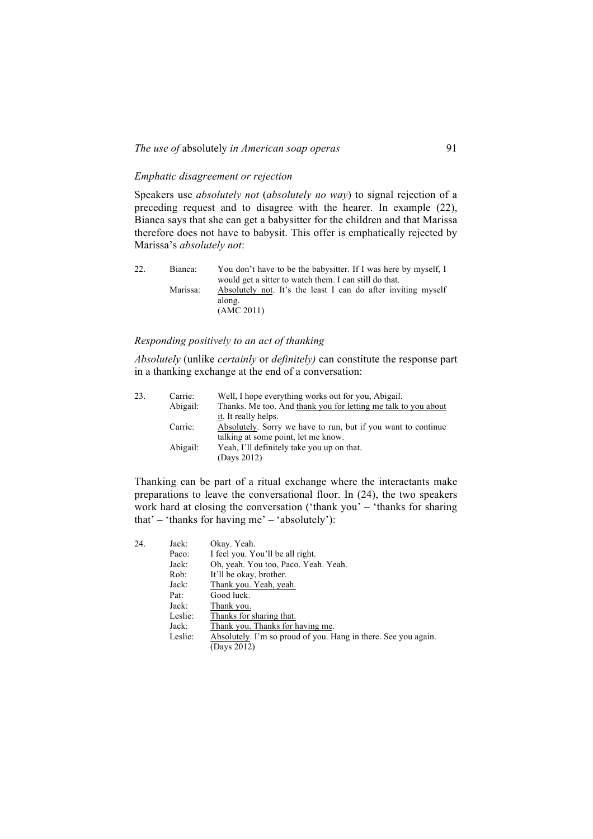# *Emphatic disagreement or rejection*

Speakers use *absolutely not* (*absolutely no way*) to signal rejection of a preceding request and to disagree with the hearer. In example (22), Bianca says that she can get a babysitter for the children and that Marissa therefore does not have to babysit. This offer is emphatically rejected by Marissa's *absolutely not*:

| 22. | Bianca:  | You don't have to be the babysitter. If I was here by myself, I                       |
|-----|----------|---------------------------------------------------------------------------------------|
|     |          | would get a sitter to watch them. I can still do that.                                |
|     | Marissa: | Absolutely not. It's the least I can do after inviting myself<br>along.<br>(AMC 2011) |

### *Responding positively to an act of thanking*

*Absolutely* (unlike *certainly* or *definitely)* can constitute the response part in a thanking exchange at the end of a conversation:

| 23. | Carrie:  | Well, I hope everything works out for you, Abigail.            |
|-----|----------|----------------------------------------------------------------|
|     | Abigail: | Thanks. Me too. And thank you for letting me talk to you about |
|     |          | it. It really helps.                                           |
|     | Carrie:  | Absolutely. Sorry we have to run, but if you want to continue  |
|     |          | talking at some point, let me know.                            |
|     | Abigail: | Yeah, I'll definitely take you up on that.                     |
|     |          | (Days 2012)                                                    |

Thanking can be part of a ritual exchange where the interactants make preparations to leave the conversational floor. In (24), the two speakers work hard at closing the conversation ('thank you' – 'thanks for sharing that' – 'thanks for having me' – 'absolutely'):

| 24. | Jack:   | Okay. Yeah.                                                    |
|-----|---------|----------------------------------------------------------------|
|     | Paco:   | I feel you. You'll be all right.                               |
|     | Jack:   | Oh, yeah. You too, Paco. Yeah. Yeah.                           |
|     | Rob:    | It'll be okay, brother.                                        |
|     | Jack:   | Thank you. Yeah, yeah.                                         |
|     | Pat:    | Good luck.                                                     |
|     | Jack:   | Thank you.                                                     |
|     | Leslie: | Thanks for sharing that.                                       |
|     | Jack:   | Thank you. Thanks for having me.                               |
|     | Leslie: | Absolutely. I'm so proud of you. Hang in there. See you again. |
|     |         | (Days 2012)                                                    |
|     |         |                                                                |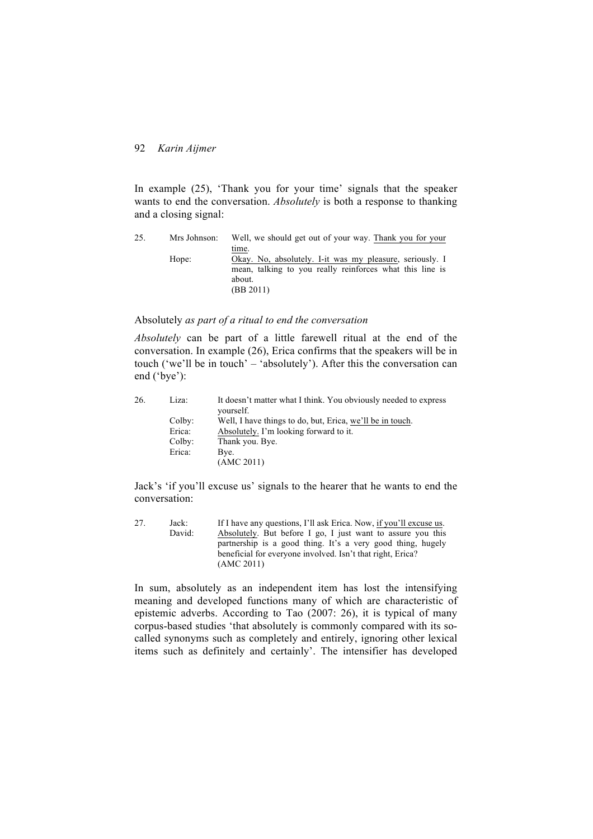In example (25), 'Thank you for your time' signals that the speaker wants to end the conversation. *Absolutely* is both a response to thanking and a closing signal:

| 25. | Mrs Johnson: | Well, we should get out of your way. Thank you for your  |
|-----|--------------|----------------------------------------------------------|
|     |              | time.                                                    |
|     | Hope:        | Okay. No, absolutely. I-it was my pleasure, seriously. I |
|     |              | mean, talking to you really reinforces what this line is |
|     |              | about.                                                   |
|     |              | (BB 2011)                                                |

### Absolutely *as part of a ritual to end the conversation*

*Absolutely* can be part of a little farewell ritual at the end of the conversation. In example (26), Erica confirms that the speakers will be in touch ('we'll be in touch' – 'absolutely'). After this the conversation can end ('bye'):

| 26. | Liza:  | It doesn't matter what I think. You obviously needed to express |
|-----|--------|-----------------------------------------------------------------|
|     |        | yourself.                                                       |
|     | Colby: | Well, I have things to do, but, Erica, we'll be in touch.       |
|     | Erica: | Absolutely. I'm looking forward to it.                          |
|     | Colby: | Thank you. Bye.                                                 |
|     | Erica: | Bye.                                                            |
|     |        | (AMC 2011)                                                      |

Jack's 'if you'll excuse us' signals to the hearer that he wants to end the conversation:

| 27. | Jack:  | If I have any questions, I'll ask Erica. Now, if you'll excuse us. |
|-----|--------|--------------------------------------------------------------------|
|     | David: | Absolutely. But before I go, I just want to assure you this        |
|     |        | partnership is a good thing. It's a very good thing, hugely        |
|     |        | beneficial for everyone involved. Isn't that right, Erica?         |
|     |        | (AMC 2011)                                                         |

In sum, absolutely as an independent item has lost the intensifying meaning and developed functions many of which are characteristic of epistemic adverbs. According to Tao (2007: 26), it is typical of many corpus-based studies 'that absolutely is commonly compared with its socalled synonyms such as completely and entirely, ignoring other lexical items such as definitely and certainly'. The intensifier has developed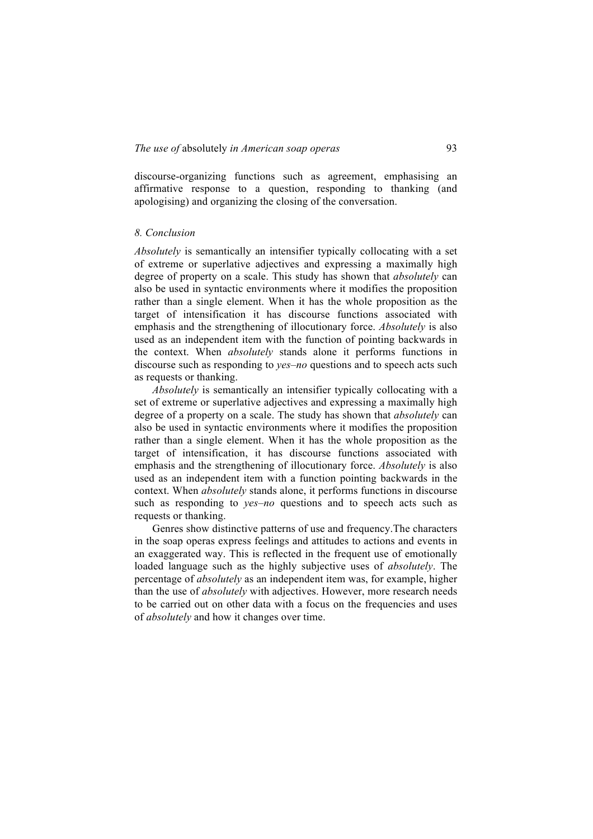discourse-organizing functions such as agreement, emphasising an affirmative response to a question, responding to thanking (and apologising) and organizing the closing of the conversation.

### *8. Conclusion*

*Absolutely* is semantically an intensifier typically collocating with a set of extreme or superlative adjectives and expressing a maximally high degree of property on a scale. This study has shown that *absolutely* can also be used in syntactic environments where it modifies the proposition rather than a single element. When it has the whole proposition as the target of intensification it has discourse functions associated with emphasis and the strengthening of illocutionary force. *Absolutely* is also used as an independent item with the function of pointing backwards in the context. When *absolutely* stands alone it performs functions in discourse such as responding to *yes*–*no* questions and to speech acts such as requests or thanking.

*Absolutely* is semantically an intensifier typically collocating with a set of extreme or superlative adjectives and expressing a maximally high degree of a property on a scale. The study has shown that *absolutely* can also be used in syntactic environments where it modifies the proposition rather than a single element. When it has the whole proposition as the target of intensification, it has discourse functions associated with emphasis and the strengthening of illocutionary force. *Absolutely* is also used as an independent item with a function pointing backwards in the context. When *absolutely* stands alone, it performs functions in discourse such as responding to *yes*–*no* questions and to speech acts such as requests or thanking.

Genres show distinctive patterns of use and frequency.The characters in the soap operas express feelings and attitudes to actions and events in an exaggerated way. This is reflected in the frequent use of emotionally loaded language such as the highly subjective uses of *absolutely*. The percentage of *absolutely* as an independent item was, for example, higher than the use of *absolutely* with adjectives. However, more research needs to be carried out on other data with a focus on the frequencies and uses of *absolutely* and how it changes over time.